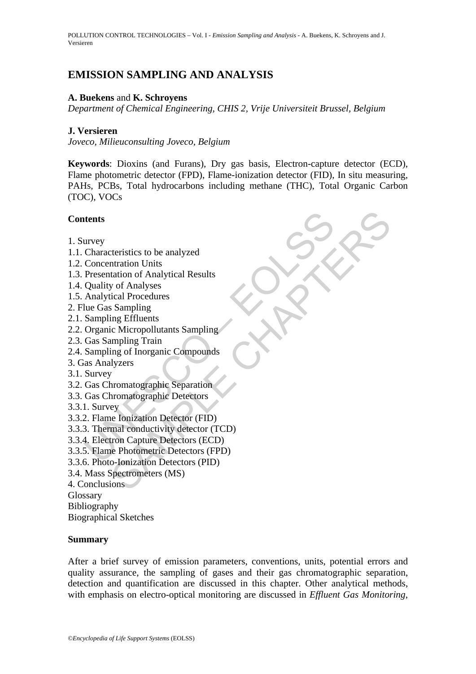# **EMISSION SAMPLING AND ANALYSIS**

# **A. Buekens** and **K. Schroyens**

*Department of Chemical Engineering, CHIS 2, Vrije Universiteit Brussel, Belgium* 

# **J. Versieren**

*Joveco, Milieuconsulting Joveco, Belgium* 

**Keywords**: Dioxins (and Furans), Dry gas basis, Electron-capture detector (ECD), Flame photometric detector (FPD), Flame-ionization detector (FID), In situ measuring, PAHs, PCBs, Total hydrocarbons including methane (THC), Total Organic Carbon (TOC), VOCs

# **Contents**

- 1. Survey
- 1.1. Characteristics to be analyzed
- 1.2. Concentration Units
- 1.3. Presentation of Analytical Results
- 1.4. Quality of Analyses
- 1.5. Analytical Procedures
- 2. Flue Gas Sampling
- 2.1. Sampling Effluents
- 2.2. Organic Micropollutants Sampling
- 2.3. Gas Sampling Train
- 2.4. Sampling of Inorganic Compounds
- 3. Gas Analyzers
- 3.1. Survey
- 3.2. Gas Chromatographic Separation
- 3.3. Gas Chromatographic Detectors
- 3.3.1. Survey
- 3.3.2. Flame Ionization Detector (FID)
- **Example 18**<br>
Units Concentration Units<br>
Concentration Units<br>
Concentration of Analytical Results<br>
Presentation of Analytical Results<br>
Quality of Analyses<br>
Analytical Procedures<br>
Lue Gas Sampling Effluents<br>
Organic Micropo terristics to be analyzed<br>thration Units<br>tation of Analytical Results<br>cical Procedures<br>Sampling<br>ing Effluents<br>in Sampling<br>ing of Inorganic Compounds<br>lyzers<br>thromatographic Cenarcion<br>dynamic Compounds<br>alyzers<br>thromatographi 3.3.3. Thermal conductivity detector (TCD)
- 3.3.4. Electron Capture Detectors (ECD)
- 3.3.5. Flame Photometric Detectors (FPD)
- 3.3.6. Photo-Ionization Detectors (PID)
- 3.4. Mass Spectrometers (MS)

4. Conclusions

Glossary

Bibliography

Biographical Sketches

### **Summary**

After a brief survey of emission parameters, conventions, units, potential errors and quality assurance, the sampling of gases and their gas chromatographic separation, detection and quantification are discussed in this chapter. Other analytical methods, with emphasis on electro-optical monitoring are discussed in *Effluent Gas Monitoring*,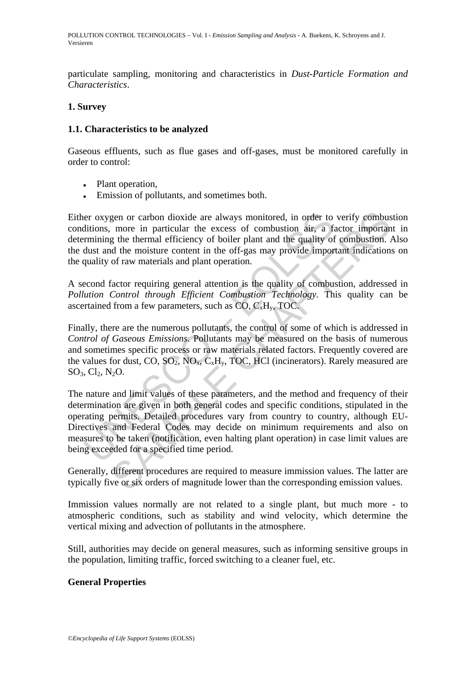particulate sampling, monitoring and characteristics in *Dust-Particle Formation and Characteristics*.

# **1. Survey**

# **1.1. Characteristics to be analyzed**

Gaseous effluents, such as flue gases and off-gases, must be monitored carefully in order to control:

- Plant operation,
- **Emission of pollutants, and sometimes both.**

Either oxygen or carbon dioxide are always monitored, in order to verify combustion conditions, more in particular the excess of combustion air, a factor important in determining the thermal efficiency of boiler plant and the quality of combustion. Also the dust and the moisture content in the off-gas may provide important indications on the quality of raw materials and plant operation.

A second factor requiring general attention is the quality of combustion, addressed in *Pollution Control through Efficient Combustion Technology*. This quality can be ascertained from a few parameters, such as  $CO, C_xH_y$ , TOC.

Finally, there are the numerous pollutants, the control of some of which is addressed in *Control of Gaseous Emissions*. Pollutants may be measured on the basis of numerous and sometimes specific process or raw materials related factors. Frequently covered are the values for dust, CO,  $SO_2$ ,  $NO_x$ ,  $C_xH_y$ , TOC, HCl (incinerators). Rarely measured are  $SO_3, Cl_2, N_2O.$ 

er oxygen or carbon dioxide are always monitored, in order to<br>ditions, more in particular the excess of combustion air, a fa<br>rmining the thermal efficiency of boiler plant and the quality of<br>dust and the moisture content gen or carbon dioxide are always monitored, in order to verify combus<br>more in particular the excess of combustion air, a factor importan<br>ded the moisture content in the off-plant and the quality of combustion.<br>of deth emoi The nature and limit values of these parameters, and the method and frequency of their determination are given in both general codes and specific conditions, stipulated in the operating permits. Detailed procedures vary from country to country, although EU-Directives and Federal Codes may decide on minimum requirements and also on measures to be taken (notification, even halting plant operation) in case limit values are being exceeded for a specified time period.

Generally, different procedures are required to measure immission values. The latter are typically five or six orders of magnitude lower than the corresponding emission values.

Immission values normally are not related to a single plant, but much more - to atmospheric conditions, such as stability and wind velocity, which determine the vertical mixing and advection of pollutants in the atmosphere.

Still, authorities may decide on general measures, such as informing sensitive groups in the population, limiting traffic, forced switching to a cleaner fuel, etc.

### **General Properties**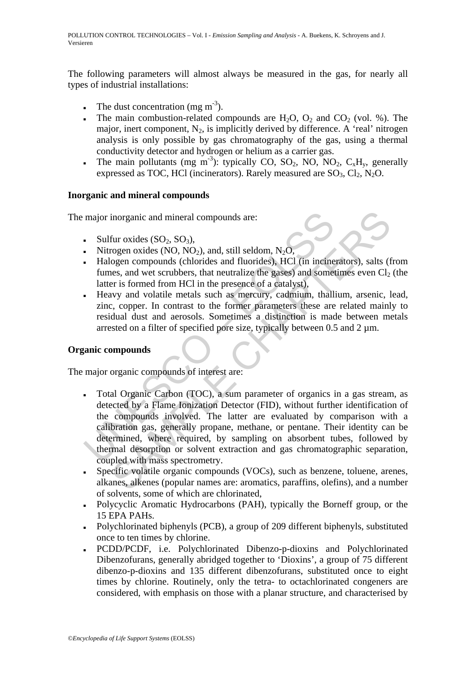The following parameters will almost always be measured in the gas, for nearly all types of industrial installations:

- The dust concentration (mg  $m<sup>-3</sup>$ ).
- The main combustion-related compounds are  $H_2O$ ,  $O_2$  and  $CO_2$  (vol. %). The major, inert component,  $N_2$ , is implicitly derived by difference. A 'real' nitrogen analysis is only possible by gas chromatography of the gas, using a thermal conductivity detector and hydrogen or helium as a carrier gas.
- The main pollutants (mg m<sup>-3</sup>): typically CO, SO<sub>2</sub>, NO, NO<sub>2</sub>, C<sub>x</sub>H<sub>v</sub>, generally expressed as TOC, HCl (incinerators). Rarely measured are  $SO_3$ ,  $Cl_2$ ,  $N_2O$ .

# **Inorganic and mineral compounds**

The major inorganic and mineral compounds are:

- $\bullet$  Sulfur oxides (SO<sub>2</sub>, SO<sub>3</sub>),
- Nitrogen oxides (NO, NO<sub>2</sub>), and, still seldom,  $N_2O$ ,
- Halogen compounds (chlorides and fluorides), HCl (in incinerators), salts (from fumes, and wet scrubbers, that neutralize the gases) and sometimes even  $Cl<sub>2</sub>$  (the latter is formed from HCl in the presence of a catalyst),
- Heavy and volatile metals such as mercury, cadmium, thallium, arsenic, lead, zinc, copper. In contrast to the former parameters these are related mainly to residual dust and aerosols. Sometimes a distinction is made between metals arrested on a filter of specified pore size, typically between  $0.5$  and  $2 \mu m$ .

# **Organic compounds**

The major organic compounds of interest are:

- major inorganic and mineral compounds are:<br> **Sulfur oxides** (SO<sub>2</sub>, SO<sub>3</sub>),<br>
Nitrogen oxides (NO, NO<sub>2</sub>), and, still seldom, N<sub>2</sub>O,<br>
Halogen compounds (chlorides and fluorides), HCl (in incine<br>
fumes, and wet scrubbers, t inorganic and mineral compounds are:<br>
fur oxides (SO<sub>2</sub>, SO<sub>3</sub>),<br>
rogen oxides (NO, NO<sub>2</sub>), and, still seldom, N<sub>2</sub>O,<br>
rogen compounds (chlorides and fluorides), HCl (in incinerators), salts (f<br>
res, and wet scrubbers, tha ▪ Total Organic Carbon (TOC), a sum parameter of organics in a gas stream, as detected by a Flame Ionization Detector (FID), without further identification of the compounds involved. The latter are evaluated by comparison with a calibration gas, generally propane, methane, or pentane. Their identity can be determined, where required, by sampling on absorbent tubes, followed by thermal desorption or solvent extraction and gas chromatographic separation, coupled with mass spectrometry.
- Specific volatile organic compounds (VOCs), such as benzene, toluene, arenes, alkanes, alkenes (popular names are: aromatics, paraffins, olefins), and a number of solvents, some of which are chlorinated,
- Polycyclic Aromatic Hydrocarbons (PAH), typically the Borneff group, or the 15 EPA PAHs.
- Polychlorinated biphenyls (PCB), a group of 209 different biphenyls, substituted once to ten times by chlorine.
- PCDD/PCDF, i.e. Polychlorinated Dibenzo-p-dioxins and Polychlorinated Dibenzofurans, generally abridged together to 'Dioxins', a group of 75 different dibenzo-p-dioxins and 135 different dibenzofurans, substituted once to eight times by chlorine. Routinely, only the tetra- to octachlorinated congeners are considered, with emphasis on those with a planar structure, and characterised by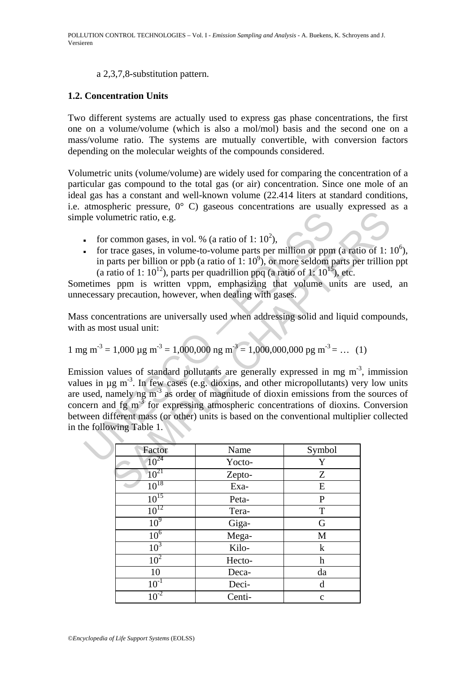### a 2,3,7,8-substitution pattern.

# **1.2. Concentration Units**

Two different systems are actually used to express gas phase concentrations, the first one on a volume/volume (which is also a mol/mol) basis and the second one on a mass/volume ratio. The systems are mutually convertible, with conversion factors depending on the molecular weights of the compounds considered.

Volumetric units (volume/volume) are widely used for comparing the concentration of a particular gas compound to the total gas (or air) concentration. Since one mole of an ideal gas has a constant and well-known volume (22.414 liters at standard conditions, i.e. atmospheric pressure, 0° C) gaseous concentrations are usually expressed as a simple volumetric ratio, e.g.

- for common gases, in vol. % (a ratio of 1:  $10^2$ ),
- for trace gases, in volume-to-volume parts per million or ppm (a ratio of 1:  $10^6$ ), in parts per billion or ppb (a ratio of 1:  $10^9$ ), or more seldom parts per trillion ppt (a ratio of 1:  $10^{12}$ ), parts per quadrillion ppq (a ratio of 1:  $10^{15}$ ), etc.

Sometimes ppm is written vppm, emphasizing that volume units are used, an unnecessary precaution, however, when dealing with gases.

Mass concentrations are universally used when addressing solid and liquid compounds, with as most usual unit:

1 mg m-3 = 1,000 µg m-3 = 1,000,000 ng m-3 = 1,000,000,000 pg m-3 = … (1)

ple volumetric ratio, e.g.<br>
for common gases, in vol. % (a ratio of 1: 10<sup>2</sup>),<br>
for trace gases, in volume-to-volume parts per million or ppm<br>
in parts per billion or ppb (a ratio of 1: 10<sup>9</sup>), or more seldom p<br>
(a ratio innetitic ratio, e.g.<br>
common gases, in vol. % (a ratio of 1: 10<sup>2</sup>),<br>
trace gases, in volume-to-volume parts per million or ppm (a ratio of 1: 1<br>
ants per billion or ppb (a ratio of 1: 10<sup>5</sup>), or more seldom parts per tr Emission values of standard pollutants are generally expressed in mg  $m<sup>-3</sup>$ , immission values in  $\mu$ g m<sup>-3</sup>. In few cases (e.g. dioxins, and other micropollutants) very low units are used, namely ng  $m<sup>3</sup>$  as order of magnitude of dioxin emissions from the sources of concern and fg  $m<sup>3</sup>$  for expressing atmospheric concentrations of dioxins. Conversion between different mass (or other) units is based on the conventional multiplier collected in the following Table 1.

| Factor          | Name   | Symbol                    |
|-----------------|--------|---------------------------|
| $10^{24}$       | Yocto- | Y                         |
| $10^{21}$       | Zepto- | Z                         |
| $10^{18}$       | Exa-   | E                         |
| $10^{15}$       | Peta-  | P                         |
| $10^{12}$       | Tera-  | T                         |
| 10 <sup>9</sup> | Giga-  | G                         |
| 10 <sup>6</sup> | Mega-  | M                         |
| $10^3$          | Kilo-  | $\mathbf k$               |
| 10 <sup>2</sup> | Hecto- | $\boldsymbol{\mathrm{h}}$ |
| 10              | Deca-  | da                        |
| $10^{-1}$       | Deci-  | d                         |
| $10^{-2}$       | Centi- | $\mathbf{C}$              |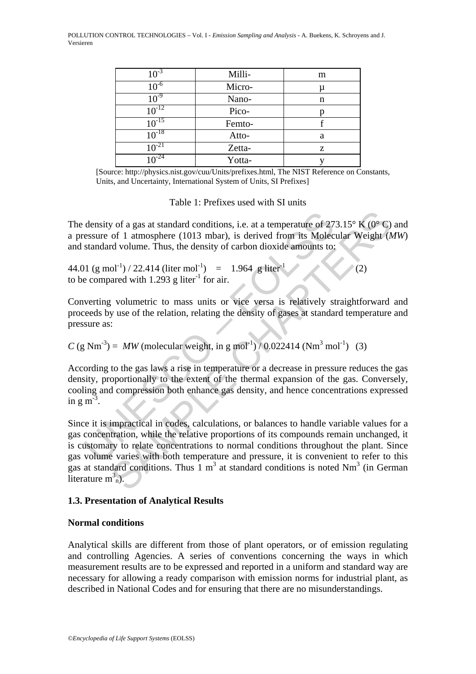POLLUTION CONTROL TECHNOLOGIES – Vol. I - *Emission Sampling and Analysis* - A. Buekens, K. Schroyens and J. Versieren

| $10^{-3}$  | Milli- | m |
|------------|--------|---|
| $10^{-6}$  | Micro- | μ |
| $10^{-9}$  | Nano-  | n |
| $10^{-12}$ | Pico-  |   |
| $10^{-15}$ | Femto- |   |
| $10^{-18}$ | Atto-  | a |
| $10^{-21}$ | Zetta- | z |
| $10^{-24}$ | Yotta- |   |

[Source: http://physics.nist.gov/cuu/Units/prefixes.html, The NIST Reference on Constants, Units, and Uncertainty, International System of Units, SI Prefixes]

Table 1: Prefixes used with SI units

The density of a gas at standard conditions, i.e. at a temperature of 273.15 $\degree$  K (0 $\degree$ C) and a pressure of 1 atmosphere (1013 mbar), is derived from its Molecular Weight (*MW*) and standard volume. Thus, the density of carbon dioxide amounts to:

44.01 (g mol<sup>-1</sup>) / 22.414 (liter mol<sup>-1</sup>) = 1.964 g liter<sup>-1</sup> (2) to be compared with 1.293 g liter<sup>-1</sup> for air.

Converting volumetric to mass units or vice versa is relatively straightforward and proceeds by use of the relation, relating the density of gases at standard temperature and pressure as:

 $C$  (g Nm<sup>-3</sup>) = *MW* (molecular weight, in g mol<sup>-1</sup>) / 0.022414 (Nm<sup>3</sup> mol<sup>-1</sup>) (3)

According to the gas laws a rise in temperature or a decrease in pressure reduces the gas density, proportionally to the extent of the thermal expansion of the gas. Conversely, cooling and compression both enhance gas density, and hence concentrations expressed in  $g \text{ m}^{-3}$ .

density of a gas at standard conditions, i.e. at a temperature of 27<br>essure of 1 atmosphere (1013 mbar), is derived from its Molec<br>standard volume. Thus, the density of carbon dioxide amounts to:<br> $11 (g mol^{-1})/22.414$  (liter y of a gas at standard conditions, i.e. at a temperature of 273.15° K (0° C)<br>of 1 atmosphere (1013 mbar), is derived from its Molecular Weight (*A*<br>red volume. Thus, the density of carbon dioxide amounts to:<br> $0t^{-1}$ ) / 22 Since it is impractical in codes, calculations, or balances to handle variable values for a gas concentration, while the relative proportions of its compounds remain unchanged, it is customary to relate concentrations to normal conditions throughout the plant. Since gas volume varies with both temperature and pressure, it is convenient to refer to this gas at standard conditions. Thus  $1 \text{ m}^3$  at standard conditions is noted Nm<sup>3</sup> (in German literature  $m_n^3$ .

### **1.3. Presentation of Analytical Results**

### **Normal conditions**

Analytical skills are different from those of plant operators, or of emission regulating and controlling Agencies. A series of conventions concerning the ways in which measurement results are to be expressed and reported in a uniform and standard way are necessary for allowing a ready comparison with emission norms for industrial plant, as described in National Codes and for ensuring that there are no misunderstandings.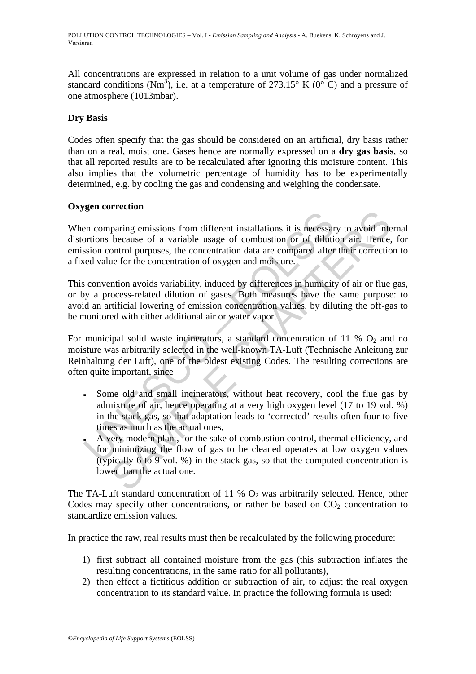All concentrations are expressed in relation to a unit volume of gas under normalized standard conditions (Nm<sup>3</sup>), i.e. at a temperature of 273.15° K (0° C) and a pressure of one atmosphere (1013mbar).

# **Dry Basis**

Codes often specify that the gas should be considered on an artificial, dry basis rather than on a real, moist one. Gases hence are normally expressed on a **dry gas basis**, so that all reported results are to be recalculated after ignoring this moisture content. This also implies that the volumetric percentage of humidity has to be experimentally determined, e.g. by cooling the gas and condensing and weighing the condensate.

# **Oxygen correction**

The comparing emissions from different installations it is necessare<br>
sission control purposes, the concentration data are compared after<br>
sission control purposes, the concentration of aviation are compared after<br>
side of Frame emissions from different installations it is necessary to avoid in<br>because of a variable usage of combustion or of dilution air. Hence,<br>because of a variable usage of combustion or of dilution air. Hence,<br>notinol pur When comparing emissions from different installations it is necessary to avoid internal distortions because of a variable usage of combustion or of dilution air. Hence, for emission control purposes, the concentration data are compared after their correction to a fixed value for the concentration of oxygen and moisture.

This convention avoids variability, induced by differences in humidity of air or flue gas, or by a process-related dilution of gases. Both measures have the same purpose: to avoid an artificial lowering of emission concentration values, by diluting the off-gas to be monitored with either additional air or water vapor.

For municipal solid waste incinerators, a standard concentration of 11 %  $O_2$  and no moisture was arbitrarily selected in the well-known TA-Luft (Technische Anleitung zur Reinhaltung der Luft), one of the oldest existing Codes. The resulting corrections are often quite important, since

- Some old and small incinerators, without heat recovery, cool the flue gas by admixture of air, hence operating at a very high oxygen level (17 to 19 vol. %) in the stack gas, so that adaptation leads to 'corrected' results often four to five times as much as the actual ones,
- A very modern plant, for the sake of combustion control, thermal efficiency, and for minimizing the flow of gas to be cleaned operates at low oxygen values (typically 6 to 9 vol. %) in the stack gas, so that the computed concentration is lower than the actual one.

The TA-Luft standard concentration of 11 %  $O_2$  was arbitrarily selected. Hence, other Codes may specify other concentrations, or rather be based on  $CO<sub>2</sub>$  concentration to standardize emission values.

In practice the raw, real results must then be recalculated by the following procedure:

- 1) first subtract all contained moisture from the gas (this subtraction inflates the resulting concentrations, in the same ratio for all pollutants),
- 2) then effect a fictitious addition or subtraction of air, to adjust the real oxygen concentration to its standard value. In practice the following formula is used: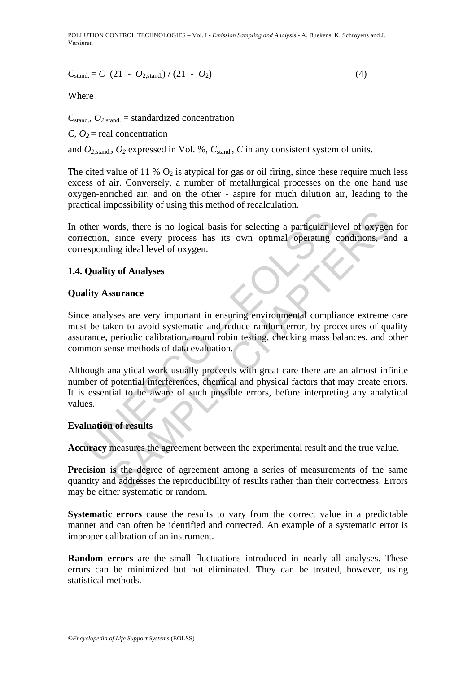POLLUTION CONTROL TECHNOLOGIES – Vol. I - *Emission Sampling and Analysis* - A. Buekens, K. Schroyens and J. Versieren

$$
C_{\text{stand}} = C (21 - O_{2,\text{stand.}}) / (21 - O_2)
$$
 (4)

Where

 $C_{\text{stand}}$ ,  $O_{2,\text{stand}}$  = standardized concentration

*C*,  $Q_2$  = real concentration

and  $O_{2\text{ stand}}$ ,  $O_2$  expressed in Vol. %,  $C_{\text{stand}}$ ,  $C$  in any consistent system of units.

The cited value of 11 %  $O_2$  is atypical for gas or oil firing, since these require much less excess of air. Conversely, a number of metallurgical processes on the one hand use oxygen-enriched air, and on the other - aspire for much dilution air, leading to the practical impossibility of using this method of recalculation.

In other words, there is no logical basis for selecting a particular level of oxygen for correction, since every process has its own optimal operating conditions, and a corresponding ideal level of oxygen.

### **1.4. Quality of Analyses**

#### **Quality Assurance**

The words, there is no logical basis for selecting a particular lection, since every process has its own optimal operating esponding ideal level of oxygen.<br> **Quality of Analyses**<br> **Quality of Analyses**<br>
Lity Assurance<br>
ce ords, there is no logical basis for selecting a particular level of oxygen<br>since every process has its own optimal operating conditions, an<br>ing ideal level of oxygen.<br>Surance<br>since developed and reduce random error, by pro Since analyses are very important in ensuring environmental compliance extreme care must be taken to avoid systematic and reduce random error, by procedures of quality assurance, periodic calibration, round robin testing, checking mass balances, and other common sense methods of data evaluation.

Although analytical work usually proceeds with great care there are an almost infinite number of potential interferences, chemical and physical factors that may create errors. It is essential to be aware of such possible errors, before interpreting any analytical values.

## **Evaluation of results**

**Accuracy** measures the agreement between the experimental result and the true value.

**Precision** is the degree of agreement among a series of measurements of the same quantity and addresses the reproducibility of results rather than their correctness. Errors may be either systematic or random.

**Systematic errors** cause the results to vary from the correct value in a predictable manner and can often be identified and corrected. An example of a systematic error is improper calibration of an instrument.

**Random errors** are the small fluctuations introduced in nearly all analyses. These errors can be minimized but not eliminated. They can be treated, however, using statistical methods.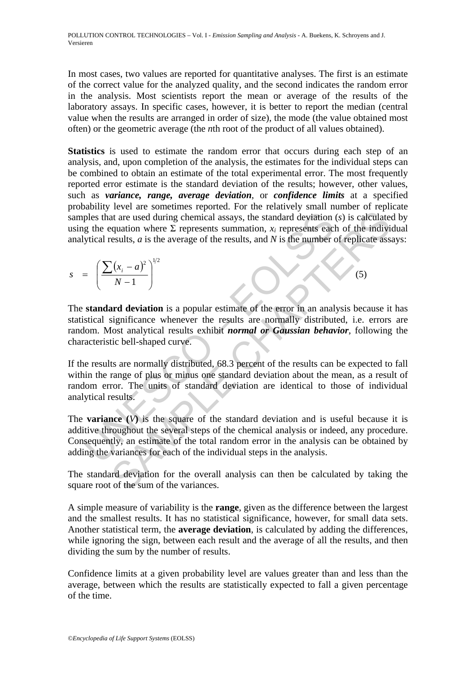In most cases, two values are reported for quantitative analyses. The first is an estimate of the correct value for the analyzed quality, and the second indicates the random error in the analysis. Most scientists report the mean or average of the results of the laboratory assays. In specific cases, however, it is better to report the median (central value when the results are arranged in order of size), the mode (the value obtained most often) or the geometric average (the *n*th root of the product of all values obtained).

**Statistics** is used to estimate the random error that occurs during each step of an analysis, and, upon completion of the analysis, the estimates for the individual steps can be combined to obtain an estimate of the total experimental error. The most frequently reported error estimate is the standard deviation of the results; however, other values, such as *variance, range, average deviation*, or *confidence limits* at a specified probability level are sometimes reported. For the relatively small number of replicate samples that are used during chemical assays, the standard deviation (*s*) is calculated by using the equation where  $\Sigma$  represents summation,  $x_i$  represents each of the individual analytical results, *a* is the average of the results, and *N* is the number of replicate assays:

$$
s = \left(\frac{\sum (x_i - a)^2}{N - 1}\right)^{1/2}
$$
 (5)

ples that are used during chemical assays, the standard deviation<br>g the equation where  $\Sigma$  represents summation,  $x_i$  represents eaclytical results, a is the average of the results, and N is the number of<br>given results, and the sum of the standard deviation and is useful because<br>  $\left(\frac{V}{N-1}\right)^2$  and the standard deviation (s) is calculated<br>
equation where  $\Sigma$  represents summation,  $x_i$  represents each of the indivirgent<br>
sealts, a is t The **standard deviation** is a popular estimate of the error in an analysis because it has statistical significance whenever the results are normally distributed, i.e. errors are random. Most analytical results exhibit *normal or Gaussian behavior*, following the characteristic bell-shaped curve.

If the results are normally distributed, 68.3 percent of the results can be expected to fall within the range of plus or minus one standard deviation about the mean, as a result of random error. The units of standard deviation are identical to those of individual analytical results.

The **variance**  $(V)$  is the square of the standard deviation and is useful because it is additive throughout the several steps of the chemical analysis or indeed, any procedure. Consequently, an estimate of the total random error in the analysis can be obtained by adding the variances for each of the individual steps in the analysis.

The standard deviation for the overall analysis can then be calculated by taking the square root of the sum of the variances.

A simple measure of variability is the **range**, given as the difference between the largest and the smallest results. It has no statistical significance, however, for small data sets. Another statistical term, the **average deviation**, is calculated by adding the differences, while ignoring the sign, between each result and the average of all the results, and then dividing the sum by the number of results.

Confidence limits at a given probability level are values greater than and less than the average, between which the results are statistically expected to fall a given percentage of the time.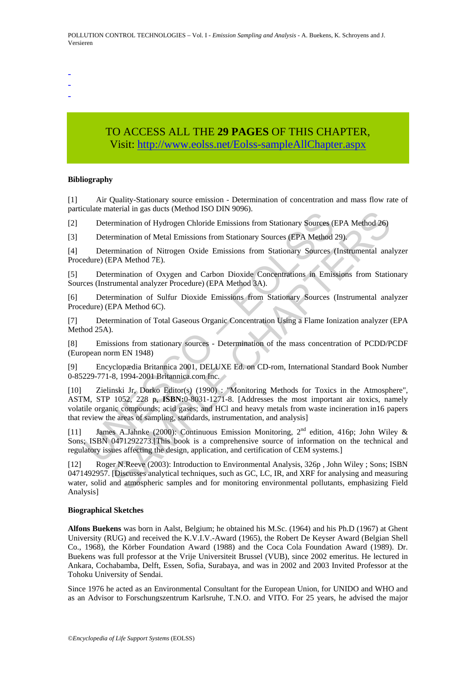- -
- -
- -

# TO ACCESS ALL THE **29 PAGES** OF THIS CHAPTER, Visi[t: http://www.eolss.net/Eolss-sampleAllChapter.aspx](https://www.eolss.net/ebooklib/sc_cart.aspx?File=E4-14-01-02)

#### **Bibliography**

[1] Air Quality-Stationary source emission - Determination of concentration and mass flow rate of particulate material in gas ducts (Method ISO DIN 9096).

[2] Determination of Hydrogen Chloride Emissions from Stationary Sources (EPA Method 26)

[3] Determination of Metal Emissions from Stationary Sources (EPA Method 29).

[4] Determination of Nitrogen Oxide Emissions from Stationary Sources (Instrumental analyzer Procedure) (EPA Method 7E).

[5] Determination of Oxygen and Carbon Dioxide Concentrations in Emissions from Stationary Sources (Instrumental analyzer Procedure) (EPA Method 3A).

[6] Determination of Sulfur Dioxide Emissions from Stationary Sources (Instrumental analyzer Procedure) (EPA Method 6C).

[7] Determination of Total Gaseous Organic Concentration Using a Flame Ionization analyzer (EPA Method 25A).

[8] Emissions from stationary sources - Determination of the mass concentration of PCDD/PCDF (European norm EN 1948)

[9] Encyclopædia Britannica 2001, DELUXE Ed. on CD-rom, International Standard Book Number 0-85229-771-8, 1994-2001 Britannica.com Inc.

Contention of Hydrogen Chloride Emissions from Stationary Sources (Determination of Hydrogen Chloride Emissions from Stationary Sources (EPA Method Determination of Nitrogen Oxide Emissions from Stationary Sources (CHA Me aterian in gas attes (neethot 150 Driv 9096).<br>
Ermination of Hydrogen Chloride Emissions from Stationary Sources (EPA Method 26)<br>
Ermination of Metal Emissions from Stationary Sources (EPA Method 29)<br>
Ermination of Mitogen [10] Zielinski Jr, Dorko Editor(s) (1990) : "Monitoring Methods for Toxics in the Atmosphere", ASTM, STP 1052, 228 p, **ISBN:**0-8031-1271-8. [Addresses the most important air toxics, namely volatile organic compounds; acid gases; and HCl and heavy metals from waste incineration in16 papers that review the areas of sampling, standards, instrumentation, and analysis]

[11] James A.Jahnke (2000): Continuous Emission Monitoring, 2nd edition, 416p; John Wiley & Sons; ISBN 0471292273.[This book is a comprehensive source of information on the technical and regulatory issues affecting the design, application, and certification of CEM systems.]

[12] Roger N.Reeve (2003): Introduction to Environmental Analysis, 326p , John Wiley ; Sons; ISBN 0471492957. [Discusses analytical techniques, such as GC, LC, IR, and XRF for analysing and measuring water, solid and atmospheric samples and for monitoring environmental pollutants, emphasizing Field Analysis]

#### **Biographical Sketches**

**Alfons Buekens** was born in Aalst, Belgium; he obtained his M.Sc. (1964) and his Ph.D (1967) at Ghent University (RUG) and received the K.V.I.V.-Award (1965), the Robert De Keyser Award (Belgian Shell Co., 1968), the Körber Foundation Award (1988) and the Coca Cola Foundation Award (1989). Dr. Buekens was full professor at the Vrije Universiteit Brussel (VUB), since 2002 emeritus. He lectured in Ankara, Cochabamba, Delft, Essen, Sofia, Surabaya, and was in 2002 and 2003 Invited Professor at the Tohoku University of Sendai.

Since 1976 he acted as an Environmental Consultant for the European Union, for UNIDO and WHO and as an Advisor to Forschungszentrum Karlsruhe, T.N.O. and VITO. For 25 years, he advised the major